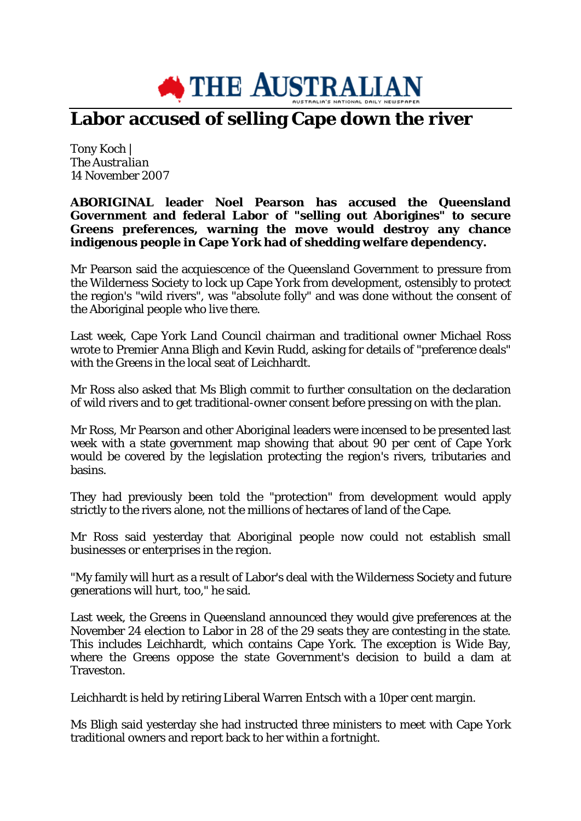

## **Labor accused of selling Cape down the river**

Tony Koch | *The Australian* 14 November 2007

**ABORIGINAL leader Noel Pearson has accused the Queensland Government and federal Labor of "selling out Aborigines" to secure Greens preferences, warning the move would destroy any chance indigenous people in Cape York had of shedding welfare dependency.**

Mr Pearson said the acquiescence of the Queensland Government to pressure from the Wilderness Society to lock up Cape York from development, ostensibly to protect the region's "wild rivers", was "absolute folly" and was done without the consent of the Aboriginal people who live there.

Last week, Cape York Land Council chairman and traditional owner Michael Ross wrote to Premier Anna Bligh and Kevin Rudd, asking for details of "preference deals" with the Greens in the local seat of Leichhardt.

Mr Ross also asked that Ms Bligh commit to further consultation on the declaration of wild rivers and to get traditional-owner consent before pressing on with the plan.

Mr Ross, Mr Pearson and other Aboriginal leaders were incensed to be presented last week with a state government map showing that about 90 per cent of Cape York would be covered by the legislation protecting the region's rivers, tributaries and basins.

They had previously been told the "protection" from development would apply strictly to the rivers alone, not the millions of hectares of land of the Cape.

Mr Ross said yesterday that Aboriginal people now could not establish small businesses or enterprises in the region.

"My family will hurt as a result of Labor's deal with the Wilderness Society and future generations will hurt, too," he said.

Last week, the Greens in Queensland announced they would give preferences at the November 24 election to Labor in 28 of the 29 seats they are contesting in the state. This includes Leichhardt, which contains Cape York. The exception is Wide Bay, where the Greens oppose the state Government's decision to build a dam at Traveston.

Leichhardt is held by retiring Liberal Warren Entsch with a 10per cent margin.

Ms Bligh said yesterday she had instructed three ministers to meet with Cape York traditional owners and report back to her within a fortnight.